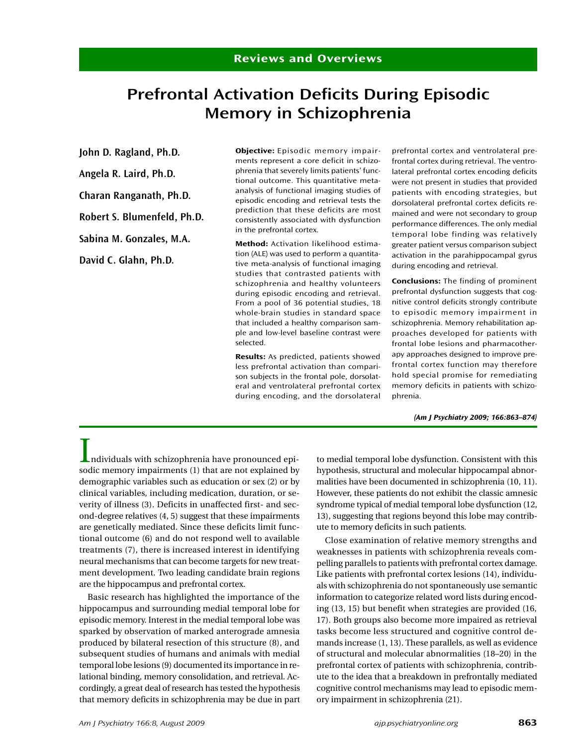# Prefrontal Activation Deficits During Episodic Memory in Schizophrenia

John D. Ragland, Ph.D.

Angela R. Laird, Ph.D.

Charan Ranganath, Ph.D.

Robert S. Blumenfeld, Ph.D.

Sabina M. Gonzales, M.A.

David C. Glahn, Ph.D.

Objective: Episodic memory impairments represent a core deficit in schizophrenia that severely limits patients' functional outcome. This quantitative metaanalysis of functional imaging studies of episodic encoding and retrieval tests the prediction that these deficits are most consistently associated with dysfunction in the prefrontal cortex.

Method: Activation likelihood estimation (ALE) was used to perform a quantitative meta-analysis of functional imaging studies that contrasted patients with schizophrenia and healthy volunteers during episodic encoding and retrieval. From a pool of 36 potential studies, 18 whole-brain studies in standard space that included a healthy comparison sample and low-level baseline contrast were selected.

Results: As predicted, patients showed less prefrontal activation than comparison subjects in the frontal pole, dorsolateral and ventrolateral prefrontal cortex during encoding, and the dorsolateral

prefrontal cortex and ventrolateral prefrontal cortex during retrieval. The ventrolateral prefrontal cortex encoding deficits were not present in studies that provided patients with encoding strategies, but dorsolateral prefrontal cortex deficits remained and were not secondary to group performance differences. The only medial temporal lobe finding was relatively greater patient versus comparison subject activation in the parahippocampal gyrus during encoding and retrieval.

Conclusions: The finding of prominent prefrontal dysfunction suggests that cognitive control deficits strongly contribute to episodic memory impairment in schizophrenia. Memory rehabilitation approaches developed for patients with frontal lobe lesions and pharmacotherapy approaches designed to improve prefrontal cortex function may therefore hold special promise for remediating memory deficits in patients with schizophrenia.

(Am J Psychiatry 2009; 166:863–874)

Individuals with schizophrenia have pronounced episodic memory impairments (1) that are not explained by demographic variables such as education or sex (2) or by clinical variables, including medication, duration, or severity of illness (3). Deficits in unaffected first- and second-degree relatives (4, 5) suggest that these impairments are genetically mediated. Since these deficits limit functional outcome (6) and do not respond well to available treatments (7), there is increased interest in identifying neural mechanisms that can become targets for new treatment development. Two leading candidate brain regions are the hippocampus and prefrontal cortex.

Basic research has highlighted the importance of the hippocampus and surrounding medial temporal lobe for episodic memory. Interest in the medial temporal lobe was sparked by observation of marked anterograde amnesia produced by bilateral resection of this structure (8), and subsequent studies of humans and animals with medial temporal lobe lesions (9) documented its importance in relational binding, memory consolidation, and retrieval. Accordingly, a great deal of research has tested the hypothesis that memory deficits in schizophrenia may be due in part to medial temporal lobe dysfunction. Consistent with this hypothesis, structural and molecular hippocampal abnormalities have been documented in schizophrenia (10, 11). However, these patients do not exhibit the classic amnesic syndrome typical of medial temporal lobe dysfunction (12, 13), suggesting that regions beyond this lobe may contribute to memory deficits in such patients.

Close examination of relative memory strengths and weaknesses in patients with schizophrenia reveals compelling parallels to patients with prefrontal cortex damage. Like patients with prefrontal cortex lesions (14), individuals with schizophrenia do not spontaneously use semantic information to categorize related word lists during encoding (13, 15) but benefit when strategies are provided (16, 17). Both groups also become more impaired as retrieval tasks become less structured and cognitive control demands increase (1, 13). These parallels, as well as evidence of structural and molecular abnormalities (18–20) in the prefrontal cortex of patients with schizophrenia, contribute to the idea that a breakdown in prefrontally mediated cognitive control mechanisms may lead to episodic memory impairment in schizophrenia (21).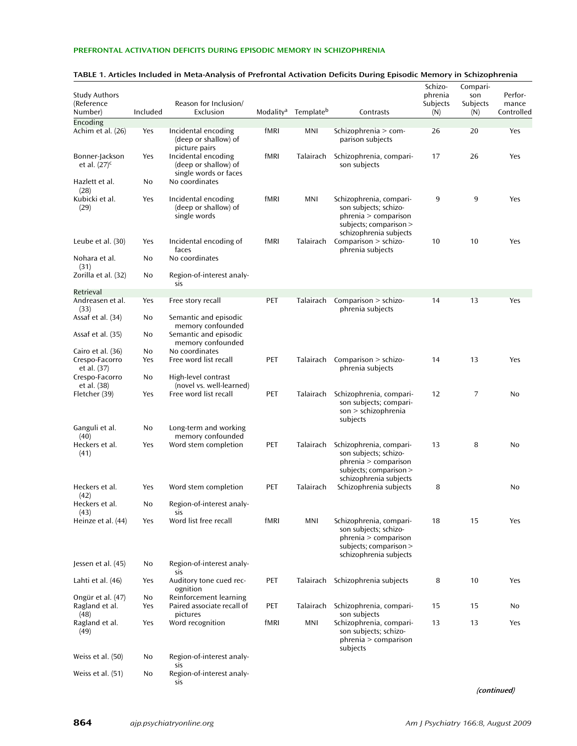| <b>Study Authors</b><br>(Reference<br>Number)      | Included  | Reason for Inclusion/<br>Exclusion                                                    |      | Modality <sup>a</sup> Template <sup>b</sup> | Contrasts                                                                                                                    | Schizo-<br>phrenia<br>Subjects<br>(N) | Compari-<br>son<br>Subjects<br>(N) | Perfor-<br>mance<br>Controlled |
|----------------------------------------------------|-----------|---------------------------------------------------------------------------------------|------|---------------------------------------------|------------------------------------------------------------------------------------------------------------------------------|---------------------------------------|------------------------------------|--------------------------------|
| Encoding<br>Achim et al. (26)                      | Yes       | Incidental encoding<br>(deep or shallow) of                                           | fMRI | MNI                                         | Schizophrenia > com-<br>parison subjects                                                                                     | 26                                    | 20                                 | Yes                            |
| Bonner-Jackson<br>et al. $(27)^c$                  | Yes       | picture pairs<br>Incidental encoding<br>(deep or shallow) of<br>single words or faces | fMRI |                                             | Talairach Schizophrenia, compari-<br>son subjects                                                                            | 17                                    | 26                                 | Yes                            |
| Hazlett et al.<br>(28)                             | No        | No coordinates                                                                        |      |                                             |                                                                                                                              |                                       |                                    |                                |
| Kubicki et al.<br>(29)                             | Yes       | Incidental encoding<br>(deep or shallow) of<br>single words                           | fMRI | MNI                                         | Schizophrenia, compari-<br>son subjects; schizo-<br>phrenia > comparison<br>subjects; comparison ><br>schizophrenia subjects | 9                                     | 9                                  | Yes                            |
| Leube et al. (30)                                  | Yes       | Incidental encoding of<br>faces                                                       | fMRI | Talairach                                   | Comparison > schizo-<br>phrenia subjects                                                                                     | 10                                    | 10                                 | Yes                            |
| Nohara et al.<br>(31)                              | No        | No coordinates                                                                        |      |                                             |                                                                                                                              |                                       |                                    |                                |
| Zorilla et al. (32)                                | No        | Region-of-interest analy-<br>sis                                                      |      |                                             |                                                                                                                              |                                       |                                    |                                |
| Retrieval                                          |           |                                                                                       |      |                                             |                                                                                                                              |                                       |                                    |                                |
| Andreasen et al.<br>(33)                           | Yes       | Free story recall                                                                     | PET  | Talairach                                   | Comparison $>$ schizo-<br>phrenia subjects                                                                                   | 14                                    | 13                                 | Yes                            |
| Assaf et al. (34)                                  | No        | Semantic and episodic<br>memory confounded                                            |      |                                             |                                                                                                                              |                                       |                                    |                                |
| Assaf et al. (35)                                  | No        | Semantic and episodic<br>memory confounded                                            |      |                                             |                                                                                                                              |                                       |                                    |                                |
| Cairo et al. (36)<br>Crespo-Facorro<br>et al. (37) | No<br>Yes | No coordinates<br>Free word list recall                                               | PET  |                                             | Talairach Comparison > schizo-<br>phrenia subjects                                                                           | 14                                    | 13                                 | Yes                            |
| Crespo-Facorro<br>et al. (38)<br>Fletcher (39)     | No<br>Yes | High-level contrast<br>(novel vs. well-learned)<br>Free word list recall              | PET  | Talairach                                   | Schizophrenia, compari-<br>son subjects; compari-                                                                            | 12                                    | 7                                  | No                             |
| Ganguli et al.<br>(40)                             | No        | Long-term and working<br>memory confounded                                            |      |                                             | son > schizophrenia<br>subjects                                                                                              |                                       |                                    |                                |
| Heckers et al.<br>(41)                             | Yes       | Word stem completion                                                                  | PET  | Talairach                                   | Schizophrenia, compari-<br>son subjects; schizo-<br>phrenia > comparison<br>subjects; comparison ><br>schizophrenia subjects | 13                                    | 8                                  | No                             |
| Heckers et al.<br>(42)                             | Yes       | Word stem completion                                                                  | PET  | Talairach                                   | Schizophrenia subjects                                                                                                       | 8                                     |                                    | No                             |
| Heckers et al.<br>(43)                             | No        | Region-of-interest analy-<br>sis                                                      |      |                                             |                                                                                                                              |                                       |                                    |                                |
| Heinze et al. (44)                                 | Yes       | Word list free recall                                                                 | fMRI | MNI                                         | Schizophrenia, compari-<br>son subjects; schizo-<br>phrenia > comparison<br>subjects; comparison ><br>schizophrenia subjects | 18                                    | 15                                 | Yes                            |
| Jessen et al. (45)                                 | No        | Region-of-interest analy-<br>sis                                                      |      |                                             |                                                                                                                              |                                       |                                    |                                |
| Lahti et al. (46)                                  | Yes       | Auditory tone cued rec-<br>ognition                                                   | PET  |                                             | Talairach Schizophrenia subjects                                                                                             | 8                                     | 10                                 | Yes                            |
| Ongür et al. (47)<br>Ragland et al.<br>(48)        | No<br>Yes | Reinforcement learning<br>Paired associate recall of<br>pictures                      | PET  | Talairach                                   | Schizophrenia, compari-<br>son subjects                                                                                      | 15                                    | 15                                 | No                             |
| Ragland et al.<br>(49)                             | Yes       | Word recognition                                                                      | fMRI | MNI                                         | Schizophrenia, compari-<br>son subjects; schizo-<br>phrenia > comparison<br>subjects                                         | 13                                    | 13                                 | Yes                            |
| Weiss et al. (50)                                  | No        | Region-of-interest analy-<br>sis                                                      |      |                                             |                                                                                                                              |                                       |                                    |                                |
| Weiss et al. (51)                                  | No        | Region-of-interest analy-<br>sis                                                      |      |                                             |                                                                                                                              |                                       |                                    |                                |

## TABLE 1. Articles Included in Meta-Analysis of Prefrontal Activation Deficits During Episodic Memory in Schizophrenia

(continued)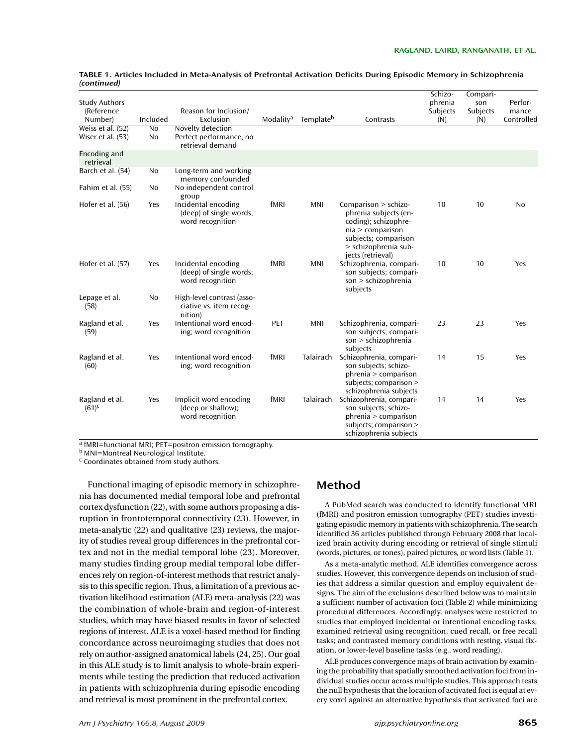| <b>Study Authors</b><br>(Reference<br>Number) | Included             | Reason for Inclusion/<br>Exclusion                                 |      | Modality <sup>a</sup> Template <sup>b</sup> | Contrasts                                                                                                                                                        | Schizo-<br>phrenia<br>Subjects<br>(N) | Compari-<br>son<br>Subjects<br>(N) | Perfor-<br>mance<br>Controlled |
|-----------------------------------------------|----------------------|--------------------------------------------------------------------|------|---------------------------------------------|------------------------------------------------------------------------------------------------------------------------------------------------------------------|---------------------------------------|------------------------------------|--------------------------------|
| Weiss et al. $(52)$<br>Wiser et al. (53)      | $\overline{N}$<br>No | Novelty detection<br>Perfect performance, no<br>retrieval demand   |      |                                             |                                                                                                                                                                  |                                       |                                    |                                |
| Encoding and<br>retrieval                     |                      |                                                                    |      |                                             |                                                                                                                                                                  |                                       |                                    |                                |
| Barch et al. (54)                             | No                   | Long-term and working<br>memory confounded                         |      |                                             |                                                                                                                                                                  |                                       |                                    |                                |
| Fahim et al. (55)                             | No                   | No independent control<br>group                                    |      |                                             |                                                                                                                                                                  |                                       |                                    |                                |
| Hofer et al. (56)                             | Yes                  | Incidental encoding<br>(deep) of single words;<br>word recognition | fMRI | <b>MNI</b>                                  | Comparison $>$ schizo-<br>phrenia subjects (en-<br>coding); schizophre-<br>nia > comparison<br>subjects; comparison<br>> schizophrenia sub-<br>jects (retrieval) | 10                                    | 10                                 | N <sub>0</sub>                 |
| Hofer et al. (57)                             | Yes                  | Incidental encoding<br>(deep) of single words;<br>word recognition | fMRI | <b>MNI</b>                                  | Schizophrenia, compari-<br>son subjects; compari-<br>son > schizophrenia<br>subjects                                                                             | 10                                    | 10                                 | Yes                            |
| Lepage et al.<br>(58)                         | No                   | High-level contrast (asso-<br>ciative vs. item recog-<br>nition)   |      |                                             |                                                                                                                                                                  |                                       |                                    |                                |
| Ragland et al.<br>(59)                        | Yes                  | Intentional word encod-<br>ing; word recognition                   | PET  | MNI                                         | Schizophrenia, compari-<br>son subjects; compari-<br>son > schizophrenia<br>subjects                                                                             | 23                                    | 23                                 | Yes                            |
| Ragland et al.<br>(60)                        | Yes                  | Intentional word encod-<br>ing; word recognition                   | fMRI | Talairach                                   | Schizophrenia, compari-<br>son subjects; schizo-<br>phrenia > comparison<br>subjects; comparison ><br>schizophrenia subjects                                     | 14                                    | 15                                 | Yes                            |
| Ragland et al.<br>$(61)^{c}$                  | Yes                  | Implicit word encoding<br>(deep or shallow);<br>word recognition   | fMRI | Talairach                                   | Schizophrenia, compari-<br>son subjects; schizo-<br>phrenia > comparison<br>subjects; comparison ><br>schizophrenia subjects                                     | 14                                    | 14                                 | Yes                            |

|             |  | TABLE 1. Articles Included in Meta-Analysis of Prefrontal Activation Deficits During Episodic Memory in Schizophrenia |
|-------------|--|-----------------------------------------------------------------------------------------------------------------------|
| (continued) |  |                                                                                                                       |

 $a$  fMRI=functional MRI; PET=positron emission tomography.

<sup>b</sup> MNI=Montreal Neurological Institute.

<sup>c</sup> Coordinates obtained from study authors.

Functional imaging of episodic memory in schizophrenia has documented medial temporal lobe and prefrontal cortex dysfunction (22), with some authors proposing a disruption in frontotemporal connectivity (23). However, in meta-analytic (22) and qualitative (23) reviews, the majority of studies reveal group differences in the prefrontal cortex and not in the medial temporal lobe (23). Moreover, many studies finding group medial temporal lobe differences rely on region-of-interest methods that restrict analysis to this specific region. Thus, a limitation of a previous activation likelihood estimation (ALE) meta-analysis (22) was the combination of whole-brain and region-of-interest studies, which may have biased results in favor of selected regions of interest. ALE is a voxel-based method for finding concordance across neuroimaging studies that does not rely on author-assigned anatomical labels (24, 25). Our goal in this ALE study is to limit analysis to whole-brain experiments while testing the prediction that reduced activation in patients with schizophrenia during episodic encoding and retrieval is most prominent in the prefrontal cortex.

# Method

A PubMed search was conducted to identify functional MRI (fMRI) and positron emission tomography (PET) studies investigating episodic memory in patients with schizophrenia. The search identified 36 articles published through February 2008 that localized brain activity during encoding or retrieval of single stimuli (words, pictures, or tones), paired pictures, or word lists (Table 1).

As a meta-analytic method, ALE identifies convergence across studies. However, this convergence depends on inclusion of studies that address a similar question and employ equivalent designs. The aim of the exclusions described below was to maintain a sufficient number of activation foci (Table 2) while minimizing procedural differences. Accordingly, analyses were restricted to studies that employed incidental or intentional encoding tasks; examined retrieval using recognition, cued recall, or free recall tasks; and contrasted memory conditions with resting, visual fixation, or lower-level baseline tasks (e.g., word reading).

ALE produces convergence maps of brain activation by examining the probability that spatially smoothed activation foci from individual studies occur across multiple studies. This approach tests the null hypothesis that the location of activated foci is equal at every voxel against an alternative hypothesis that activated foci are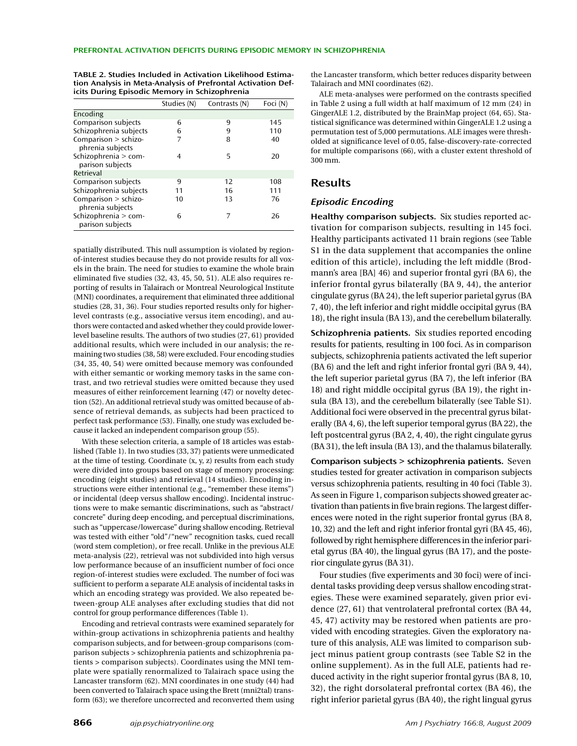|                                          | Studies (N) | Contrasts (N) | Foci (N) |
|------------------------------------------|-------------|---------------|----------|
| Encoding                                 |             |               |          |
| Comparison subjects                      | 6           | 9             | 145      |
| Schizophrenia subjects                   | 6           | 9             | 110      |
| Comparison > schizo-<br>phrenia subjects | 7           | 8             | 40       |
| Schizophrenia > com-<br>parison subjects | 4           | 5             | 20       |
| Retrieval                                |             |               |          |
| Comparison subjects                      | 9           | 12            | 108      |
| Schizophrenia subjects                   | 11          | 16            | 111      |
| Comparison > schizo-<br>phrenia subjects | 10          | 13            | 76       |
| Schizophrenia > com-<br>parison subjects | 6           |               | 26       |

TABLE 2. Studies Included in Activation Likelihood Estimation Analysis in Meta-Analysis of Prefrontal Activation Deficits During Episodic Memory in Schizophrenia

spatially distributed. This null assumption is violated by regionof-interest studies because they do not provide results for all voxels in the brain. The need for studies to examine the whole brain eliminated five studies (32, 43, 45, 50, 51). ALE also requires reporting of results in Talairach or Montreal Neurological Institute (MNI) coordinates, a requirement that eliminated three additional studies (28, 31, 36). Four studies reported results only for higherlevel contrasts (e.g., associative versus item encoding), and authors were contacted and asked whether they could provide lowerlevel baseline results. The authors of two studies (27, 61) provided additional results, which were included in our analysis; the remaining two studies (38, 58) were excluded. Four encoding studies (34, 35, 40, 54) were omitted because memory was confounded with either semantic or working memory tasks in the same contrast, and two retrieval studies were omitted because they used measures of either reinforcement learning (47) or novelty detection (52). An additional retrieval study was omitted because of absence of retrieval demands, as subjects had been practiced to perfect task performance (53). Finally, one study was excluded because it lacked an independent comparison group (55).

With these selection criteria, a sample of 18 articles was established (Table 1). In two studies (33, 37) patients were unmedicated at the time of testing. Coordinate (x, y, z) results from each study were divided into groups based on stage of memory processing: encoding (eight studies) and retrieval (14 studies). Encoding instructions were either intentional (e.g., "remember these items") or incidental (deep versus shallow encoding). Incidental instructions were to make semantic discriminations, such as "abstract/ concrete" during deep encoding, and perceptual discriminations, such as "uppercase/lowercase" during shallow encoding. Retrieval was tested with either "old"/"new" recognition tasks, cued recall (word stem completion), or free recall. Unlike in the previous ALE meta-analysis (22), retrieval was not subdivided into high versus low performance because of an insufficient number of foci once region-of-interest studies were excluded. The number of foci was sufficient to perform a separate ALE analysis of incidental tasks in which an encoding strategy was provided. We also repeated between-group ALE analyses after excluding studies that did not control for group performance differences (Table 1).

Encoding and retrieval contrasts were examined separately for within-group activations in schizophrenia patients and healthy comparison subjects, and for between-group comparisons (comparison subjects > schizophrenia patients and schizophrenia patients > comparison subjects). Coordinates using the MNI template were spatially renormalized to Talairach space using the Lancaster transform (62). MNI coordinates in one study (44) had been converted to Talairach space using the Brett (mni2tal) transform (63); we therefore uncorrected and reconverted them using

the Lancaster transform, which better reduces disparity between Talairach and MNI coordinates (62).

ALE meta-analyses were performed on the contrasts specified in Table 2 using a full width at half maximum of 12 mm (24) in GingerALE 1.2, distributed by the BrainMap project (64, 65). Statistical significance was determined within GingerALE 1.2 using a permutation test of 5,000 permutations. ALE images were thresholded at significance level of 0.05, false-discovery-rate-corrected for multiple comparisons (66), with a cluster extent threshold of 300 mm.

# Results

## Episodic Encoding

Healthy comparison subjects. Six studies reported activation for comparison subjects, resulting in 145 foci. Healthy participants activated 11 brain regions (see Table S1 in the data supplement that accompanies the online edition of this article), including the left middle (Brodmann's area [BA] 46) and superior frontal gyri (BA 6), the inferior frontal gyrus bilaterally (BA 9, 44), the anterior cingulate gyrus (BA 24), the left superior parietal gyrus (BA 7, 40), the left inferior and right middle occipital gyrus (BA 18), the right insula (BA 13), and the cerebellum bilaterally.

Schizophrenia patients. Six studies reported encoding results for patients, resulting in 100 foci. As in comparison subjects, schizophrenia patients activated the left superior (BA 6) and the left and right inferior frontal gyri (BA 9, 44), the left superior parietal gyrus (BA 7), the left inferior (BA 18) and right middle occipital gyrus (BA 19), the right insula (BA 13), and the cerebellum bilaterally (see Table S1). Additional foci were observed in the precentral gyrus bilaterally (BA 4, 6), the left superior temporal gyrus (BA 22), the left postcentral gyrus (BA 2, 4, 40), the right cingulate gyrus (BA 31), the left insula (BA 13), and the thalamus bilaterally.

Comparison subjects > schizophrenia patients. Seven studies tested for greater activation in comparison subjects versus schizophrenia patients, resulting in 40 foci (Table 3). As seen in Figure 1, comparison subjects showed greater activation than patients in five brain regions. The largest differences were noted in the right superior frontal gyrus (BA 8, 10, 32) and the left and right inferior frontal gyri (BA 45, 46), followed by right hemisphere differences in the inferior parietal gyrus (BA 40), the lingual gyrus (BA 17), and the posterior cingulate gyrus (BA 31).

Four studies (five experiments and 30 foci) were of incidental tasks providing deep versus shallow encoding strategies. These were examined separately, given prior evidence (27, 61) that ventrolateral prefrontal cortex (BA 44, 45, 47) activity may be restored when patients are provided with encoding strategies. Given the exploratory nature of this analysis, ALE was limited to comparison subject minus patient group contrasts (see Table S2 in the online supplement). As in the full ALE, patients had reduced activity in the right superior frontal gyrus (BA 8, 10, 32), the right dorsolateral prefrontal cortex (BA 46), the right inferior parietal gyrus (BA 40), the right lingual gyrus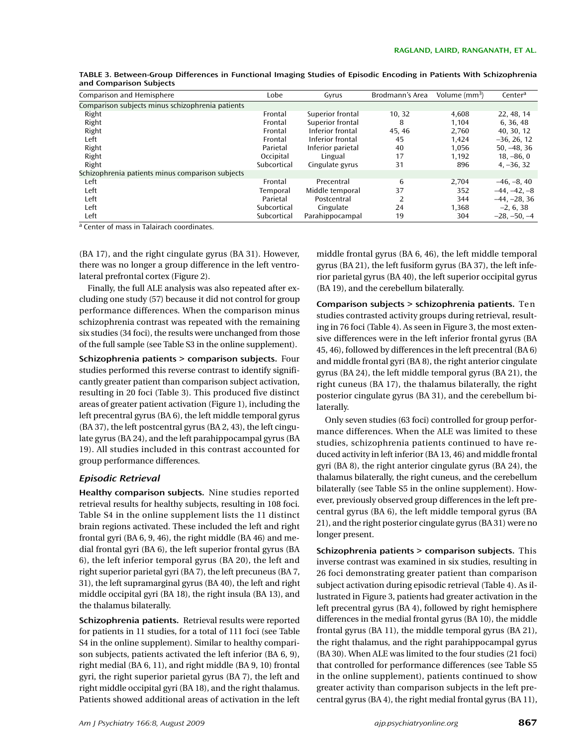| Comparison and Hemisphere                        | Lobe        | Gyrus             | Brodmann's Area | Volume $\text{m}^3$ | Center <sup>a</sup> |
|--------------------------------------------------|-------------|-------------------|-----------------|---------------------|---------------------|
| Comparison subjects minus schizophrenia patients |             |                   |                 |                     |                     |
| Right                                            | Frontal     | Superior frontal  | 10.32           | 4.608               | 22, 48, 14          |
| Right                                            | Frontal     | Superior frontal  | 8               | 1,104               | 6, 36, 48           |
| Right                                            | Frontal     | Inferior frontal  | 45, 46          | 2.760               | 40, 30, 12          |
| Left                                             | Frontal     | Inferior frontal  | 45              | 1.424               | $-36, 26, 12$       |
| Right                                            | Parietal    | Inferior parietal | 40              | 1.056               | $50, -48, 36$       |
| Right                                            | Occipital   | Lingual           | 17              | 1.192               | $18, -86, 0$        |
| Right                                            | Subcortical | Cingulate gyrus   | 31              | 896                 | $4, -36, 32$        |
| Schizophrenia patients minus comparison subjects |             |                   |                 |                     |                     |
| Left                                             | Frontal     | Precentral        | 6               | 2.704               | $-46, -8, 40$       |
| Left                                             | Temporal    | Middle temporal   | 37              | 352                 | $-44, -42, -8$      |
| Left                                             | Parietal    | Postcentral       | 2               | 344                 | $-44, -28, 36$      |
| Left                                             | Subcortical | Cingulate         | 24              | 1,368               | $-2, 6, 38$         |
| Left                                             | Subcortical | Parahippocampal   | 19              | 304                 | $-28, -50, -4$      |

TABLE 3. Between-Group Differences in Functional Imaging Studies of Episodic Encoding in Patients With Schizophrenia and Comparison Subjects

a Center of mass in Talairach coordinates.

(BA 17), and the right cingulate gyrus (BA 31). However, there was no longer a group difference in the left ventrolateral prefrontal cortex (Figure 2).

Finally, the full ALE analysis was also repeated after excluding one study (57) because it did not control for group performance differences. When the comparison minus schizophrenia contrast was repeated with the remaining six studies (34 foci), the results were unchanged from those of the full sample (see Table S3 in the online supplement).

Schizophrenia patients > comparison subjects. Four studies performed this reverse contrast to identify significantly greater patient than comparison subject activation, resulting in 20 foci (Table 3). This produced five distinct areas of greater patient activation (Figure 1), including the left precentral gyrus (BA 6), the left middle temporal gyrus (BA 37), the left postcentral gyrus (BA 2, 43), the left cingulate gyrus (BA 24), and the left parahippocampal gyrus (BA 19). All studies included in this contrast accounted for group performance differences.

## Episodic Retrieval

Healthy comparison subjects. Nine studies reported retrieval results for healthy subjects, resulting in 108 foci. Table S4 in the online supplement lists the 11 distinct brain regions activated. These included the left and right frontal gyri (BA 6, 9, 46), the right middle (BA 46) and medial frontal gyri (BA 6), the left superior frontal gyrus (BA 6), the left inferior temporal gyrus (BA 20), the left and right superior parietal gyri (BA 7), the left precuneus (BA 7, 31), the left supramarginal gyrus (BA 40), the left and right middle occipital gyri (BA 18), the right insula (BA 13), and the thalamus bilaterally.

Schizophrenia patients. Retrieval results were reported for patients in 11 studies, for a total of 111 foci (see Table S4 in the online supplement). Similar to healthy comparison subjects, patients activated the left inferior (BA 6, 9), right medial (BA 6, 11), and right middle (BA 9, 10) frontal gyri, the right superior parietal gyrus (BA 7), the left and right middle occipital gyri (BA 18), and the right thalamus. Patients showed additional areas of activation in the left

middle frontal gyrus (BA 6, 46), the left middle temporal gyrus (BA 21), the left fusiform gyrus (BA 37), the left inferior parietal gyrus (BA 40), the left superior occipital gyrus (BA 19), and the cerebellum bilaterally.

Comparison subjects > schizophrenia patients. Te n studies contrasted activity groups during retrieval, resulting in 76 foci (Table 4). As seen in Figure 3, the most extensive differences were in the left inferior frontal gyrus (BA 45, 46), followed by differences in the left precentral (BA 6) and middle frontal gyri (BA 8), the right anterior cingulate gyrus (BA 24), the left middle temporal gyrus (BA 21), the right cuneus (BA 17), the thalamus bilaterally, the right posterior cingulate gyrus (BA 31), and the cerebellum bilaterally.

Only seven studies (63 foci) controlled for group performance differences. When the ALE was limited to these studies, schizophrenia patients continued to have reduced activity in left inferior (BA 13, 46) and middle frontal gyri (BA 8), the right anterior cingulate gyrus (BA 24), the thalamus bilaterally, the right cuneus, and the cerebellum bilaterally (see Table S5 in the online supplement). However, previously observed group differences in the left precentral gyrus (BA 6), the left middle temporal gyrus (BA 21), and the right posterior cingulate gyrus (BA 31) were no longer present.

Schizophrenia patients > comparison subjects. This inverse contrast was examined in six studies, resulting in 26 foci demonstrating greater patient than comparison subject activation during episodic retrieval (Table 4). As illustrated in Figure 3, patients had greater activation in the left precentral gyrus (BA 4), followed by right hemisphere differences in the medial frontal gyrus (BA 10), the middle frontal gyrus (BA 11), the middle temporal gyrus (BA 21), the right thalamus, and the right parahippocampal gyrus (BA 30). When ALE was limited to the four studies (21 foci) that controlled for performance differences (see Table S5 in the online supplement), patients continued to show greater activity than comparison subjects in the left precentral gyrus (BA 4), the right medial frontal gyrus (BA 11),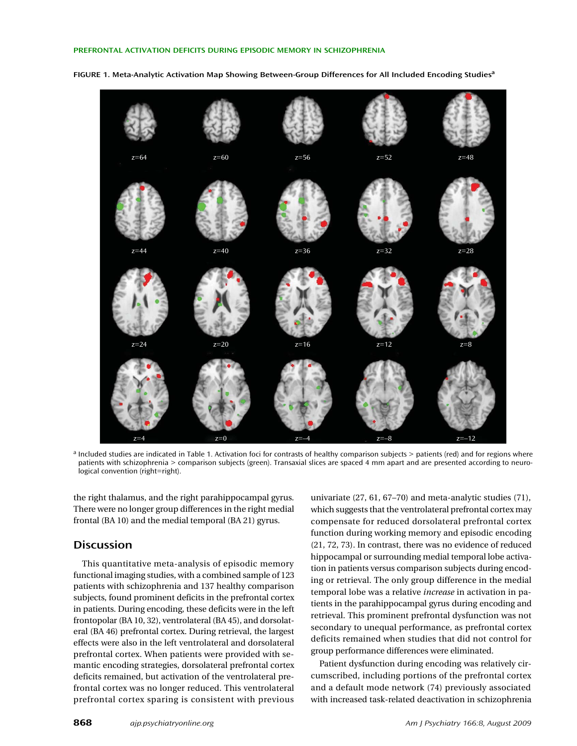

FIGURE 1. Meta-Analytic Activation Map Showing Between-Group Differences for All Included Encoding Studies<sup>a</sup>

a Included studies are indicated in Table 1. Activation foci for contrasts of healthy comparison subjects > patients (red) and for regions where patients with schizophrenia > comparison subjects (green). Transaxial slices are spaced 4 mm apart and are presented according to neurological convention (right=right).

the right thalamus, and the right parahippocampal gyrus. There were no longer group differences in the right medial frontal (BA 10) and the medial temporal (BA 21) gyrus.

# **Discussion**

This quantitative meta-analysis of episodic memory functional imaging studies, with a combined sample of 123 patients with schizophrenia and 137 healthy comparison subjects, found prominent deficits in the prefrontal cortex in patients. During encoding, these deficits were in the left frontopolar (BA 10, 32), ventrolateral (BA 45), and dorsolateral (BA 46) prefrontal cortex. During retrieval, the largest effects were also in the left ventrolateral and dorsolateral prefrontal cortex. When patients were provided with semantic encoding strategies, dorsolateral prefrontal cortex deficits remained, but activation of the ventrolateral prefrontal cortex was no longer reduced. This ventrolateral prefrontal cortex sparing is consistent with previous

univariate (27, 61, 67–70) and meta-analytic studies (71), which suggests that the ventrolateral prefrontal cortex may compensate for reduced dorsolateral prefrontal cortex function during working memory and episodic encoding (21, 72, 73). In contrast, there was no evidence of reduced hippocampal or surrounding medial temporal lobe activation in patients versus comparison subjects during encoding or retrieval. The only group difference in the medial temporal lobe was a relative *increase* in activation in patients in the parahippocampal gyrus during encoding and retrieval. This prominent prefrontal dysfunction was not secondary to unequal performance, as prefrontal cortex deficits remained when studies that did not control for group performance differences were eliminated.

Patient dysfunction during encoding was relatively circumscribed, including portions of the prefrontal cortex and a default mode network (74) previously associated with increased task-related deactivation in schizophrenia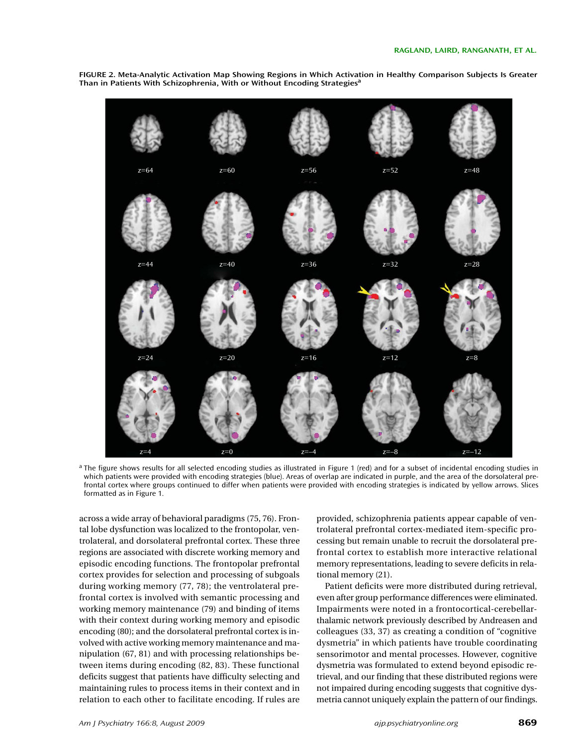

FIGURE 2. Meta-Analytic Activation Map Showing Regions in Which Activation in Healthy Comparison Subjects Is Greater Than in Patients With Schizophrenia, With or Without Encoding Strategies<sup>a</sup>

<sup>a</sup> The figure shows results for all selected encoding studies as illustrated in Figure 1 (red) and for a subset of incidental encoding studies in which patients were provided with encoding strategies (blue). Areas of overlap are indicated in purple, and the area of the dorsolateral prefrontal cortex where groups continued to differ when patients were provided with encoding strategies is indicated by yellow arrows. Slices formatted as in Figure 1.

across a wide array of behavioral paradigms (75, 76). Frontal lobe dysfunction was localized to the frontopolar, ventrolateral, and dorsolateral prefrontal cortex. These three regions are associated with discrete working memory and episodic encoding functions. The frontopolar prefrontal cortex provides for selection and processing of subgoals during working memory (77, 78); the ventrolateral prefrontal cortex is involved with semantic processing and working memory maintenance (79) and binding of items with their context during working memory and episodic encoding (80); and the dorsolateral prefrontal cortex is involved with active working memory maintenance and manipulation (67, 81) and with processing relationships between items during encoding (82, 83). These functional deficits suggest that patients have difficulty selecting and maintaining rules to process items in their context and in relation to each other to facilitate encoding. If rules are

provided, schizophrenia patients appear capable of ventrolateral prefrontal cortex-mediated item-specific processing but remain unable to recruit the dorsolateral prefrontal cortex to establish more interactive relational memory representations, leading to severe deficits in relational memory (21).

Patient deficits were more distributed during retrieval, even after group performance differences were eliminated. Impairments were noted in a frontocortical-cerebellarthalamic network previously described by Andreasen and colleagues (33, 37) as creating a condition of "cognitive dysmetria" in which patients have trouble coordinating sensorimotor and mental processes. However, cognitive dysmetria was formulated to extend beyond episodic retrieval, and our finding that these distributed regions were not impaired during encoding suggests that cognitive dysmetria cannot uniquely explain the pattern of our findings.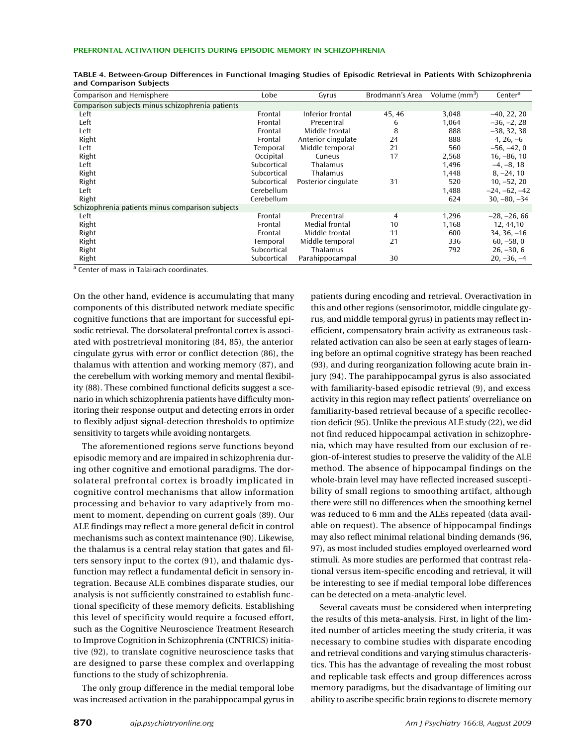| Comparison and Hemisphere                        | Lobe        | Gyrus               | Brodmann's Area | Volume $\text{(mm}^3)$ | Centera         |
|--------------------------------------------------|-------------|---------------------|-----------------|------------------------|-----------------|
| Comparison subjects minus schizophrenia patients |             |                     |                 |                        |                 |
| Left                                             | Frontal     | Inferior frontal    | 45, 46          | 3,048                  | $-40, 22, 20$   |
| Left                                             | Frontal     | Precentral          | 6               | 1,064                  | $-36, -2, 28$   |
| Left                                             | Frontal     | Middle frontal      | 8               | 888                    | $-38, 32, 38$   |
| Right                                            | Frontal     | Anterior cingulate  | 24              | 888                    | $4, 26, -6$     |
| Left                                             | Temporal    | Middle temporal     | 21              | 560                    | $-56, -42, 0$   |
| Right                                            | Occipital   | Cuneus              | 17              | 2,568                  | $16, -86, 10$   |
| Left                                             | Subcortical | Thalamus            |                 | 1,496                  | $-4, -8, 18$    |
| Right                                            | Subcortical | Thalamus            |                 | 1.448                  | $8, -24, 10$    |
| Right                                            | Subcortical | Posterior cingulate | 31              | 520                    | $10, -52, 20$   |
| Left                                             | Cerebellum  |                     |                 | 1,488                  | $-24, -62, -42$ |
| Right                                            | Cerebellum  |                     |                 | 624                    | $30, -80, -34$  |
| Schizophrenia patients minus comparison subjects |             |                     |                 |                        |                 |
| Left                                             | Frontal     | Precentral          | $\overline{4}$  | 1,296                  | $-28, -26, 66$  |
| Right                                            | Frontal     | Medial frontal      | 10              | 1,168                  | 12, 44, 10      |
| Right                                            | Frontal     | Middle frontal      | 11              | 600                    | $34, 36, -16$   |
| Right                                            | Temporal    | Middle temporal     | 21              | 336                    | $60, -58, 0$    |
| Right                                            | Subcortical | Thalamus            |                 | 792                    | $26, -30, 6$    |
| Right                                            | Subcortical | Parahippocampal     | 30              |                        | $20, -36, -4$   |

| TABLE 4. Between-Group Differences in Functional Imaging Studies of Episodic Retrieval in Patients With Schizophrenia |  |  |
|-----------------------------------------------------------------------------------------------------------------------|--|--|
| and Comparison Subjects                                                                                               |  |  |

a Center of mass in Talairach coordinates.

On the other hand, evidence is accumulating that many components of this distributed network mediate specific cognitive functions that are important for successful episodic retrieval. The dorsolateral prefrontal cortex is associated with postretrieval monitoring (84, 85), the anterior cingulate gyrus with error or conflict detection (86), the thalamus with attention and working memory (87), and the cerebellum with working memory and mental flexibility (88). These combined functional deficits suggest a scenario in which schizophrenia patients have difficulty monitoring their response output and detecting errors in order to flexibly adjust signal-detection thresholds to optimize sensitivity to targets while avoiding nontargets.

The aforementioned regions serve functions beyond episodic memory and are impaired in schizophrenia during other cognitive and emotional paradigms. The dorsolateral prefrontal cortex is broadly implicated in cognitive control mechanisms that allow information processing and behavior to vary adaptively from moment to moment, depending on current goals (89). Our ALE findings may reflect a more general deficit in control mechanisms such as context maintenance (90). Likewise, the thalamus is a central relay station that gates and filters sensory input to the cortex (91), and thalamic dysfunction may reflect a fundamental deficit in sensory integration. Because ALE combines disparate studies, our analysis is not sufficiently constrained to establish functional specificity of these memory deficits. Establishing this level of specificity would require a focused effort, such as the Cognitive Neuroscience Treatment Research to Improve Cognition in Schizophrenia (CNTRICS) initiative (92), to translate cognitive neuroscience tasks that are designed to parse these complex and overlapping functions to the study of schizophrenia.

The only group difference in the medial temporal lobe was increased activation in the parahippocampal gyrus in

patients during encoding and retrieval. Overactivation in this and other regions (sensorimotor, middle cingulate gyrus, and middle temporal gyrus) in patients may reflect inefficient, compensatory brain activity as extraneous taskrelated activation can also be seen at early stages of learning before an optimal cognitive strategy has been reached (93), and during reorganization following acute brain injury (94). The parahippocampal gyrus is also associated with familiarity-based episodic retrieval (9), and excess activity in this region may reflect patients' overreliance on familiarity-based retrieval because of a specific recollection deficit (95). Unlike the previous ALE study (22), we did not find reduced hippocampal activation in schizophrenia, which may have resulted from our exclusion of region-of-interest studies to preserve the validity of the ALE method. The absence of hippocampal findings on the whole-brain level may have reflected increased susceptibility of small regions to smoothing artifact, although there were still no differences when the smoothing kernel was reduced to 6 mm and the ALEs repeated (data available on request). The absence of hippocampal findings may also reflect minimal relational binding demands (96, 97), as most included studies employed overlearned word stimuli. As more studies are performed that contrast relational versus item-specific encoding and retrieval, it will be interesting to see if medial temporal lobe differences can be detected on a meta-analytic level.

Several caveats must be considered when interpreting the results of this meta-analysis. First, in light of the limited number of articles meeting the study criteria, it was necessary to combine studies with disparate encoding and retrieval conditions and varying stimulus characteristics. This has the advantage of revealing the most robust and replicable task effects and group differences across memory paradigms, but the disadvantage of limiting our ability to ascribe specific brain regions to discrete memory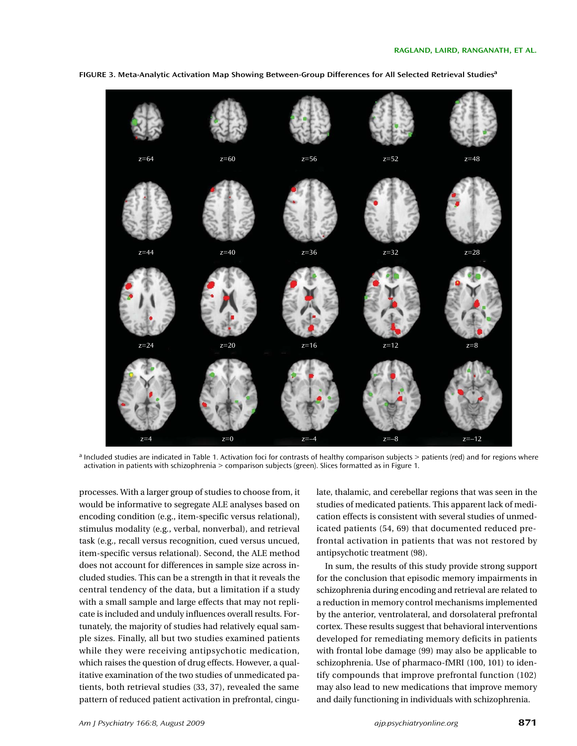

FIGURE 3. Meta-Analytic Activation Map Showing Between-Group Differences for All Selected Retrieval Studies<sup>a</sup>

<sup>a</sup> Included studies are indicated in Table 1. Activation foci for contrasts of healthy comparison subjects > patients (red) and for regions where activation in patients with schizophrenia > comparison subjects (green). Slices formatted as in Figure 1.

processes. With a larger group of studies to choose from, it would be informative to segregate ALE analyses based on encoding condition (e.g., item-specific versus relational), stimulus modality (e.g., verbal, nonverbal), and retrieval task (e.g., recall versus recognition, cued versus uncued, item-specific versus relational). Second, the ALE method does not account for differences in sample size across included studies. This can be a strength in that it reveals the central tendency of the data, but a limitation if a study with a small sample and large effects that may not replicate is included and unduly influences overall results. Fortunately, the majority of studies had relatively equal sample sizes. Finally, all but two studies examined patients while they were receiving antipsychotic medication, which raises the question of drug effects. However, a qualitative examination of the two studies of unmedicated patients, both retrieval studies (33, 37), revealed the same pattern of reduced patient activation in prefrontal, cingulate, thalamic, and cerebellar regions that was seen in the studies of medicated patients. This apparent lack of medication effects is consistent with several studies of unmedicated patients (54, 69) that documented reduced prefrontal activation in patients that was not restored by antipsychotic treatment (98).

In sum, the results of this study provide strong support for the conclusion that episodic memory impairments in schizophrenia during encoding and retrieval are related to a reduction in memory control mechanisms implemented by the anterior, ventrolateral, and dorsolateral prefrontal cortex. These results suggest that behavioral interventions developed for remediating memory deficits in patients with frontal lobe damage (99) may also be applicable to schizophrenia. Use of pharmaco-fMRI (100, 101) to identify compounds that improve prefrontal function (102) may also lead to new medications that improve memory and daily functioning in individuals with schizophrenia.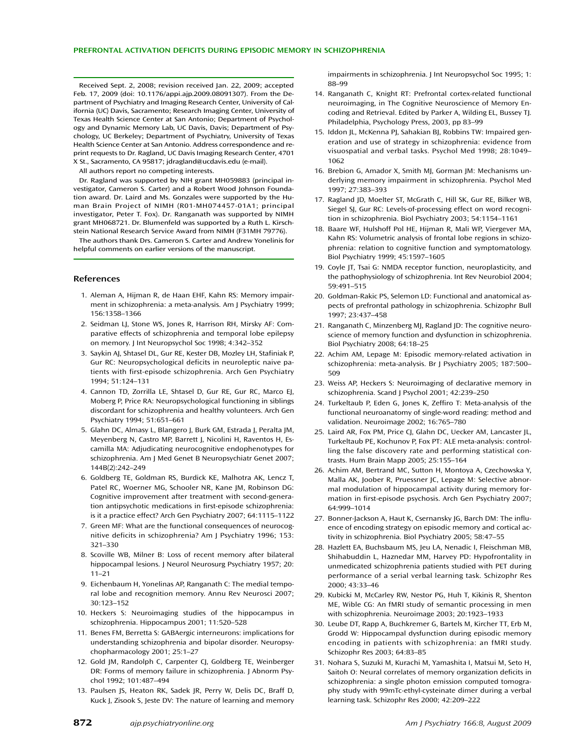Received Sept. 2, 2008; revision received Jan. 22, 2009; accepted Feb. 17, 2009 (doi: 10.1176/appi.ajp.2009.08091307). From the Department of Psychiatry and Imaging Research Center, University of California (UC) Davis, Sacramento; Research Imaging Center, University of Texas Health Science Center at San Antonio; Department of Psychology and Dynamic Memory Lab, UC Davis, Davis; Department of Psychology, UC Berkeley; Department of Psychiatry, University of Texas Health Science Center at San Antonio. Address correspondence and reprint requests to Dr. Ragland, UC Davis Imaging Research Center, 4701 X St., Sacramento, CA 95817; jdragland@ucdavis.edu (e-mail).

All authors report no competing interests.

Dr. Ragland was supported by NIH grant MH059883 (principal investigator, Cameron S. Carter) and a Robert Wood Johnson Foundation award. Dr. Laird and Ms. Gonzales were supported by the Human Brain Project of NIMH (R01-MH074457-01A1; principal investigator, Peter T. Fox). Dr. Ranganath was supported by NIMH grant MH068721. Dr. Blumenfeld was supported by a Ruth L. Kirschstein National Research Service Award from NIMH (F31MH 79776).

The authors thank Drs. Cameron S. Carter and Andrew Yonelinis for helpful comments on earlier versions of the manuscript.

#### References

- 1. Aleman A, Hijman R, de Haan EHF, Kahn RS: Memory impairment in schizophrenia: a meta-analysis. Am J Psychiatry 1999; 156:1358–1366
- 2. Seidman LJ, Stone WS, Jones R, Harrison RH, Mirsky AF: Comparative effects of schizophrenia and temporal lobe epilepsy on memory. J Int Neuropsychol Soc 1998; 4:342–352
- 3. Saykin AJ, Shtasel DL, Gur RE, Kester DB, Mozley LH, Stafiniak P, Gur RC: Neuropsychological deficits in neuroleptic naive patients with first-episode schizophrenia. Arch Gen Psychiatry 1994; 51:124–131
- 4. Cannon TD, Zorrilla LE, Shtasel D, Gur RE, Gur RC, Marco EJ, Moberg P, Price RA: Neuropsychological functioning in siblings discordant for schizophrenia and healthy volunteers. Arch Gen Psychiatry 1994; 51:651–661
- 5. Glahn DC, Almasy L, Blangero J, Burk GM, Estrada J, Peralta JM, Meyenberg N, Castro MP, Barrett J, Nicolini H, Raventos H, Escamilla MA: Adjudicating neurocognitive endophenotypes for schizophrenia. Am J Med Genet B Neuropsychiatr Genet 2007; 144B(2):242–249
- 6. Goldberg TE, Goldman RS, Burdick KE, Malhotra AK, Lencz T, Patel RC, Woerner MG, Schooler NR, Kane JM, Robinson DG: Cognitive improvement after treatment with second-generation antipsychotic medications in first-episode schizophrenia: is it a practice effect? Arch Gen Psychiatry 2007; 64:1115–1122
- 7. Green MF: What are the functional consequences of neurocognitive deficits in schizophrenia? Am J Psychiatry 1996; 153: 321–330
- 8. Scoville WB, Milner B: Loss of recent memory after bilateral hippocampal lesions. J Neurol Neurosurg Psychiatry 1957; 20: 11–21
- 9. Eichenbaum H, Yonelinas AP, Ranganath C: The medial temporal lobe and recognition memory. Annu Rev Neurosci 2007; 30:123–152
- 10. Heckers S: Neuroimaging studies of the hippocampus in schizophrenia. Hippocampus 2001; 11:520–528
- 11. Benes FM, Berretta S: GABAergic interneurons: implications for understanding schizophrenia and bipolar disorder. Neuropsychopharmacology 2001; 25:1–27
- 12. Gold JM, Randolph C, Carpenter CJ, Goldberg TE, Weinberger DR: Forms of memory failure in schizophrenia. J Abnorm Psychol 1992; 101:487–494
- 13. Paulsen JS, Heaton RK, Sadek JR, Perry W, Delis DC, Braff D, Kuck J, Zisook S, Jeste DV: The nature of learning and memory

impairments in schizophrenia. J Int Neuropsychol Soc 1995; 1: 88–99

- 14. Ranganath C, Knight RT: Prefrontal cortex-related functional neuroimaging, in The Cognitive Neuroscience of Memory Encoding and Retrieval. Edited by Parker A, Wilding EL, Bussey TJ. Philadelphia, Psychology Press, 2003, pp 83–99
- 15. Iddon JL, McKenna PJ, Sahakian BJ, Robbins TW: Impaired generation and use of strategy in schizophrenia: evidence from visuospatial and verbal tasks. Psychol Med 1998; 28:1049– 1062
- 16. Brebion G, Amador X, Smith MJ, Gorman JM: Mechanisms underlying memory impairment in schizophrenia. Psychol Med 1997; 27:383–393
- 17. Ragland JD, Moelter ST, McGrath C, Hill SK, Gur RE, Bilker WB, Siegel SJ, Gur RC: Levels-of-processing effect on word recognition in schizophrenia. Biol Psychiatry 2003; 54:1154–1161
- 18. Baare WF, Hulshoff Pol HE, Hijman R, Mali WP, Viergever MA, Kahn RS: Volumetric analysis of frontal lobe regions in schizophrenia: relation to cognitive function and symptomatology. Biol Psychiatry 1999; 45:1597–1605
- 19. Coyle JT, Tsai G: NMDA receptor function, neuroplasticity, and the pathophysiology of schizophrenia. Int Rev Neurobiol 2004; 59:491–515
- 20. Goldman-Rakic PS, Selemon LD: Functional and anatomical aspects of prefrontal pathology in schizophrenia. Schizophr Bull 1997; 23:437–458
- 21. Ranganath C, Minzenberg MJ, Ragland JD: The cognitive neuroscience of memory function and dysfunction in schizophrenia. Biol Psychiatry 2008; 64:18–25
- 22. Achim AM, Lepage M: Episodic memory-related activation in schizophrenia: meta-analysis. Br J Psychiatry 2005; 187:500– 509
- 23. Weiss AP, Heckers S: Neuroimaging of declarative memory in schizophrenia. Scand J Psychol 2001; 42:239–250
- 24. Turkeltaub P, Eden G, Jones K, Zeffiro T: Meta-analysis of the functional neuroanatomy of single-word reading: method and validation. Neuroimage 2002; 16:765–780
- 25. Laird AR, Fox PM, Price CJ, Glahn DC, Uecker AM, Lancaster JL, Turkeltaub PE, Kochunov P, Fox PT: ALE meta-analysis: controlling the false discovery rate and performing statistical contrasts. Hum Brain Mapp 2005; 25:155–164
- 26. Achim AM, Bertrand MC, Sutton H, Montoya A, Czechowska Y, Malla AK, Joober R, Pruessner JC, Lepage M: Selective abnormal modulation of hippocampal activity during memory formation in first-episode psychosis. Arch Gen Psychiatry 2007; 64:999–1014
- 27. Bonner-Jackson A, Haut K, Csernansky JG, Barch DM: The influence of encoding strategy on episodic memory and cortical activity in schizophrenia. Biol Psychiatry 2005; 58:47–55
- 28. Hazlett EA, Buchsbaum MS, Jeu LA, Nenadic I, Fleischman MB, Shihabuddin L, Haznedar MM, Harvey PD: Hypofrontality in unmedicated schizophrenia patients studied with PET during performance of a serial verbal learning task. Schizophr Res 2000; 43:33–46
- 29. Kubicki M, McCarley RW, Nestor PG, Huh T, Kikinis R, Shenton ME, Wible CG: An fMRI study of semantic processing in men with schizophrenia. Neuroimage 2003; 20:1923–1933
- 30. Leube DT, Rapp A, Buchkremer G, Bartels M, Kircher TT, Erb M, Grodd W: Hippocampal dysfunction during episodic memory encoding in patients with schizophrenia: an fMRI study. Schizophr Res 2003; 64:83–85
- 31. Nohara S, Suzuki M, Kurachi M, Yamashita I, Matsui M, Seto H, Saitoh O: Neural correlates of memory organization deficits in schizophrenia: a single photon emission computed tomography study with 99mTc-ethyl-cysteinate dimer during a verbal learning task. Schizophr Res 2000; 42:209–222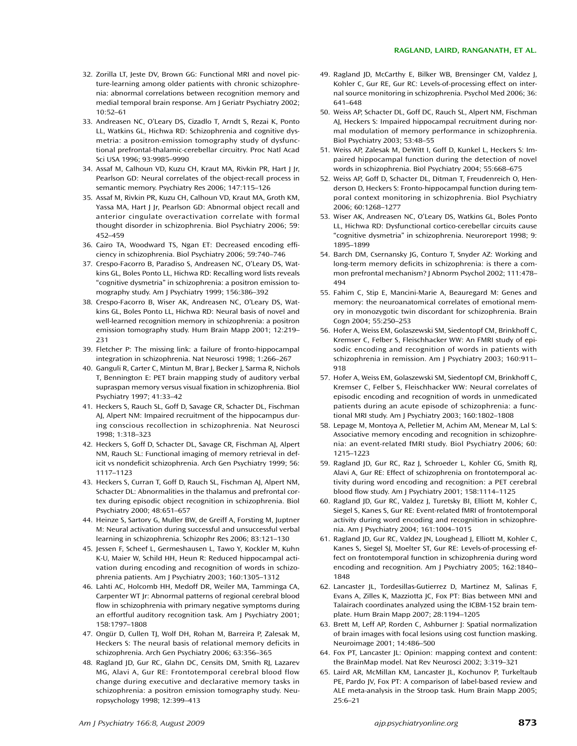- 32. Zorilla LT, Jeste DV, Brown GG: Functional MRI and novel picture-learning among older patients with chronic schizophrenia: abnormal correlations between recognition memory and medial temporal brain response. Am J Geriatr Psychiatry 2002; 10:52–61
- 33. Andreasen NC, O'Leary DS, Cizadlo T, Arndt S, Rezai K, Ponto LL, Watkins GL, Hichwa RD: Schizophrenia and cognitive dysmetria: a positron-emission tomography study of dysfunctional prefrontal-thalamic-cerebellar circuitry. Proc Natl Acad Sci USA 1996; 93:9985–9990
- 34. Assaf M, Calhoun VD, Kuzu CH, Kraut MA, Rivkin PR, Hart J Jr, Pearlson GD: Neural correlates of the object-recall process in semantic memory. Psychiatry Res 2006; 147:115–126
- 35. Assaf M, Rivkin PR, Kuzu CH, Calhoun VD, Kraut MA, Groth KM, Yassa MA, Hart J Jr, Pearlson GD: Abnormal object recall and anterior cingulate overactivation correlate with formal thought disorder in schizophrenia. Biol Psychiatry 2006; 59: 452–459
- 36. Cairo TA, Woodward TS, Ngan ET: Decreased encoding efficiency in schizophrenia. Biol Psychiatry 2006; 59:740–746
- 37. Crespo-Facorro B, Paradiso S, Andreasen NC, O'Leary DS, Watkins GL, Boles Ponto LL, Hichwa RD: Recalling word lists reveals "cognitive dysmetria" in schizophrenia: a positron emission tomography study. Am J Psychiatry 1999; 156:386–392
- 38. Crespo-Facorro B, Wiser AK, Andreasen NC, O'Leary DS, Watkins GL, Boles Ponto LL, Hichwa RD: Neural basis of novel and well-learned recognition memory in schizophrenia: a positron emission tomography study. Hum Brain Mapp 2001; 12:219– 231
- 39. Fletcher P: The missing link: a failure of fronto-hippocampal integration in schizophrenia. Nat Neurosci 1998; 1:266–267
- 40. Ganguli R, Carter C, Mintun M, Brar J, Becker J, Sarma R, Nichols T, Bennington E: PET brain mapping study of auditory verbal supraspan memory versus visual fixation in schizophrenia. Biol Psychiatry 1997; 41:33–42
- 41. Heckers S, Rauch SL, Goff D, Savage CR, Schacter DL, Fischman AJ, Alpert NM: Impaired recruitment of the hippocampus during conscious recollection in schizophrenia. Nat Neurosci 1998; 1:318–323
- 42. Heckers S, Goff D, Schacter DL, Savage CR, Fischman AJ, Alpert NM, Rauch SL: Functional imaging of memory retrieval in deficit vs nondeficit schizophrenia. Arch Gen Psychiatry 1999; 56: 1117–1123
- 43. Heckers S, Curran T, Goff D, Rauch SL, Fischman AJ, Alpert NM, Schacter DL: Abnormalities in the thalamus and prefrontal cortex during episodic object recognition in schizophrenia. Biol Psychiatry 2000; 48:651–657
- 44. Heinze S, Sartory G, Muller BW, de Greiff A, Forsting M, Juptner M: Neural activation during successful and unsuccessful verbal learning in schizophrenia. Schizophr Res 2006; 83:121–130
- 45. Jessen F, Scheef L, Germeshausen L, Tawo Y, Kockler M, Kuhn K-U, Maier W, Schild HH, Heun R: Reduced hippocampal activation during encoding and recognition of words in schizophrenia patients. Am J Psychiatry 2003; 160:1305–1312
- 46. Lahti AC, Holcomb HH, Medoff DR, Weiler MA, Tamminga CA, Carpenter WT Jr: Abnormal patterns of regional cerebral blood flow in schizophrenia with primary negative symptoms during an effortful auditory recognition task. Am J Psychiatry 2001; 158:1797–1808
- 47. Ongür D, Cullen TJ, Wolf DH, Rohan M, Barreira P, Zalesak M, Heckers S: The neural basis of relational memory deficits in schizophrenia. Arch Gen Psychiatry 2006; 63:356–365
- 48. Ragland JD, Gur RC, Glahn DC, Censits DM, Smith RJ, Lazarev MG, Alavi A, Gur RE: Frontotemporal cerebral blood flow change during executive and declarative memory tasks in schizophrenia: a positron emission tomography study. Neuropsychology 1998; 12:399–413
- 49. Ragland JD, McCarthy E, Bilker WB, Brensinger CM, Valdez J, Kohler C, Gur RE, Gur RC: Levels-of-processing effect on internal source monitoring in schizophrenia. Psychol Med 2006; 36: 641–648
- 50. Weiss AP, Schacter DL, Goff DC, Rauch SL, Alpert NM, Fischman AJ, Heckers S: Impaired hippocampal recruitment during normal modulation of memory performance in schizophrenia. Biol Psychiatry 2003; 53:48–55
- 51. Weiss AP, Zalesak M, DeWitt I, Goff D, Kunkel L, Heckers S: Impaired hippocampal function during the detection of novel words in schizophrenia. Biol Psychiatry 2004; 55:668–675
- 52. Weiss AP, Goff D, Schacter DL, Ditman T, Freudenreich O, Henderson D, Heckers S: Fronto-hippocampal function during temporal context monitoring in schizophrenia. Biol Psychiatry 2006; 60:1268–1277
- 53. Wiser AK, Andreasen NC, O'Leary DS, Watkins GL, Boles Ponto LL, Hichwa RD: Dysfunctional cortico-cerebellar circuits cause "cognitive dysmetria" in schizophrenia. Neuroreport 1998; 9: 1895–1899
- 54. Barch DM, Csernansky JG, Conturo T, Snyder AZ: Working and long-term memory deficits in schizophrenia: is there a common prefrontal mechanism? J Abnorm Psychol 2002; 111:478– 494
- 55. Fahim C, Stip E, Mancini-Marie A, Beauregard M: Genes and memory: the neuroanatomical correlates of emotional memory in monozygotic twin discordant for schizophrenia. Brain Cogn 2004; 55:250–253
- 56. Hofer A, Weiss EM, Golaszewski SM, Siedentopf CM, Brinkhoff C, Kremser C, Felber S, Fleischhacker WW: An FMRI study of episodic encoding and recognition of words in patients with schizophrenia in remission. Am J Psychiatry 2003; 160:911– 918
- 57. Hofer A, Weiss EM, Golaszewski SM, Siedentopf CM, Brinkhoff C, Kremser C, Felber S, Fleischhacker WW: Neural correlates of episodic encoding and recognition of words in unmedicated patients during an acute episode of schizophrenia: a functional MRI study. Am J Psychiatry 2003; 160:1802–1808
- 58. Lepage M, Montoya A, Pelletier M, Achim AM, Menear M, Lal S: Associative memory encoding and recognition in schizophrenia: an event-related fMRI study. Biol Psychiatry 2006; 60: 1215–1223
- 59. Ragland JD, Gur RC, Raz J, Schroeder L, Kohler CG, Smith RJ, Alavi A, Gur RE: Effect of schizophrenia on frontotemporal activity during word encoding and recognition: a PET cerebral blood flow study. Am J Psychiatry 2001; 158:1114–1125
- 60. Ragland JD, Gur RC, Valdez J, Turetsky BI, Elliott M, Kohler C, Siegel S, Kanes S, Gur RE: Event-related fMRI of frontotemporal activity during word encoding and recognition in schizophrenia. Am J Psychiatry 2004; 161:1004–1015
- 61. Ragland JD, Gur RC, Valdez JN, Loughead J, Elliott M, Kohler C, Kanes S, Siegel SJ, Moelter ST, Gur RE: Levels-of-processing effect on frontotemporal function in schizophrenia during word encoding and recognition. Am J Psychiatry 2005; 162:1840– 1848
- 62. Lancaster JL, Tordesillas-Gutierrez D, Martinez M, Salinas F, Evans A, Zilles K, Mazziotta JC, Fox PT: Bias between MNI and Talairach coordinates analyzed using the ICBM-152 brain template. Hum Brain Mapp 2007; 28:1194–1205
- 63. Brett M, Leff AP, Rorden C, Ashburner J: Spatial normalization of brain images with focal lesions using cost function masking. Neuroimage 2001; 14:486–500
- 64. Fox PT, Lancaster JL: Opinion: mapping context and content: the BrainMap model. Nat Rev Neurosci 2002; 3:319–321
- 65. Laird AR, McMillan KM, Lancaster JL, Kochunov P, Turkeltaub PE, Pardo JV, Fox PT: A comparison of label-based review and ALE meta-analysis in the Stroop task. Hum Brain Mapp 2005; 25:6–21